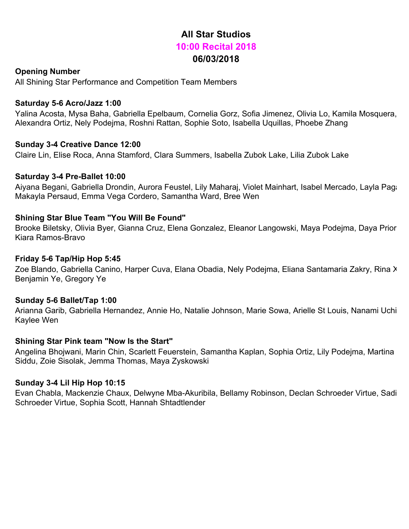# **All Star Studios 10:00 Recital 2018 06/03/2018**

# **Opening Number**

All Shining Star Performance and Competition Team Members

## **Saturday 5-6 Acro/Jazz 1:00**

Yalina Acosta, Mysa Baha, Gabriella Epelbaum, Cornelia Gorz, Sofia Jimenez, Olivia Lo, Kamila Mosquera, Alexandra Ortiz, Nely Podejma, Roshni Rattan, Sophie Soto, Isabella Uquillas, Phoebe Zhang

# **Sunday 3-4 Creative Dance 12:00**

Claire Lin, Elise Roca, Anna Stamford, Clara Summers, Isabella Zubok Lake, Lilia Zubok Lake

# **Saturday 3-4 Pre-Ballet 10:00**

Aiyana Begani, Gabriella Drondin, Aurora Feustel, Lily Maharaj, Violet Mainhart, Isabel Mercado, Layla Paga Makayla Persaud, Emma Vega Cordero, Samantha Ward, Bree Wen

# **Shining Star Blue Team "You Will Be Found"**

Brooke Biletsky, Olivia Byer, Gianna Cruz, Elena Gonzalez, Eleanor Langowski, Maya Podejma, Daya Prior, Kiara Ramos-Bravo

## **Friday 5-6 Tap/Hip Hop 5:45**

Zoe Blando, Gabriella Canino, Harper Cuva, Elana Obadia, Nely Podejma, Eliana Santamaria Zakry, Rina X Benjamin Ye, Gregory Ye

## **Sunday 5-6 Ballet/Tap 1:00**

Arianna Garib, Gabriella Hernandez, Annie Ho, Natalie Johnson, Marie Sowa, Arielle St Louis, Nanami Uchida, Kaylee Wen

## **Shining Star Pink team "Now Is the Start"**

Angelina Bhojwani, Marin Chin, Scarlett Feuerstein, Samantha Kaplan, Sophia Ortiz, Lily Podejma, Martina Siddu, Zoie Sisolak, Jemma Thomas, Maya Zyskowski

## **Sunday 3-4 Lil Hip Hop 10:15**

Evan Chabla, Mackenzie Chaux, Delwyne Mba-Akuribila, Bellamy Robinson, Declan Schroeder Virtue, Sadi Schroeder Virtue, Sophia Scott, Hannah Shtadtlender